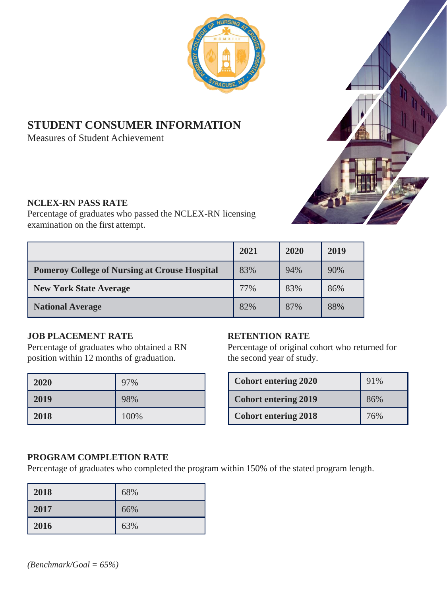

# **STUDENT CONSUMER INFORMATION**

Measures of Student Achievement

#### **NCLEX-RN PASS RATE**

Percentage of graduates who passed the NCLEX-RN licensing examination on the first attempt.

|                                                      | 2021 | 2020 | 2019 |
|------------------------------------------------------|------|------|------|
| <b>Pomeroy College of Nursing at Crouse Hospital</b> | 83%  | 94%  | 90%  |
| <b>New York State Average</b>                        | 77%  | 83%  | 86%  |
| <b>National Average</b>                              | 82%  | 87%  | 88%  |

## **JOB PLACEMENT RATE**

Percentage of graduates who obtained a RN position within 12 months of graduation.

| 2020 | 97%  |
|------|------|
| 2019 | 98%  |
| 2018 | 100% |

## **RETENTION RATE**

Percentage of original cohort who returned for the second year of study.

| <b>Cohort entering 2020</b> | 91% |
|-----------------------------|-----|
| <b>Cohort entering 2019</b> | 86% |
| <b>Cohort entering 2018</b> | 76% |

#### **PROGRAM COMPLETION RATE**

Percentage of graduates who completed the program within 150% of the stated program length.

| 2018 | 68% |
|------|-----|
| 2017 | 66% |
| 2016 | 63% |